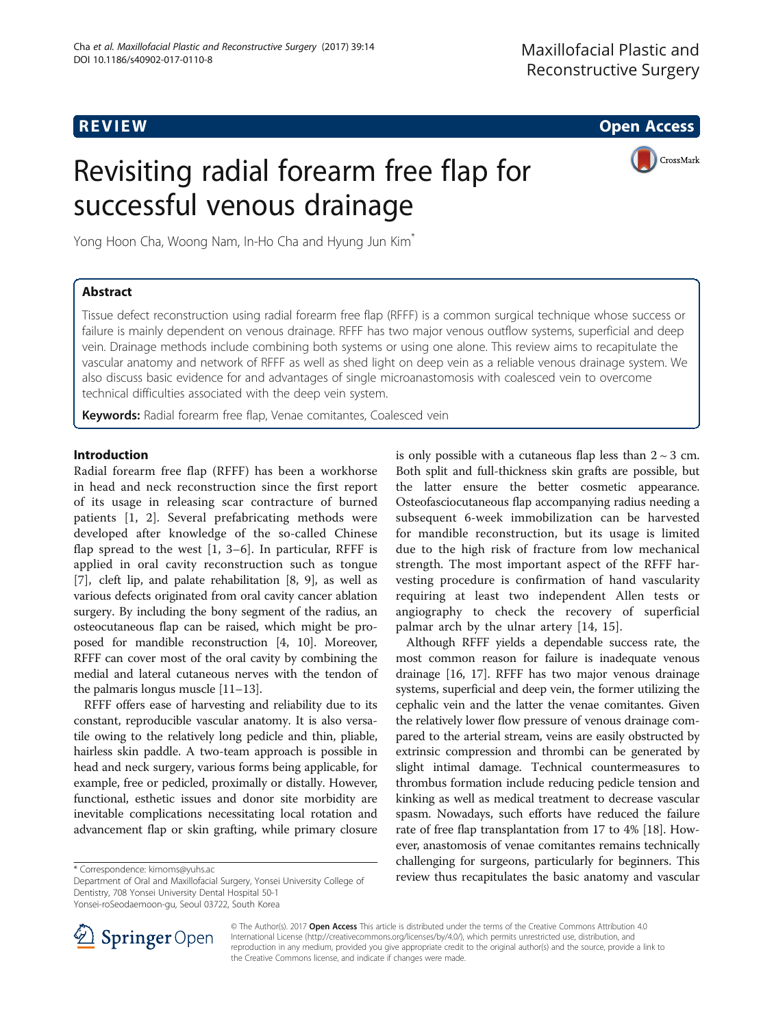**REVIEW CONSTRUCTION CONSTRUCTION CONSTRUCTS** 

# Revisiting radial forearm free flap for successful venous drainage



Yong Hoon Cha, Woong Nam, In-Ho Cha and Hyung Jun Kim\*

## Abstract

Tissue defect reconstruction using radial forearm free flap (RFFF) is a common surgical technique whose success or failure is mainly dependent on venous drainage. RFFF has two major venous outflow systems, superficial and deep vein. Drainage methods include combining both systems or using one alone. This review aims to recapitulate the vascular anatomy and network of RFFF as well as shed light on deep vein as a reliable venous drainage system. We also discuss basic evidence for and advantages of single microanastomosis with coalesced vein to overcome technical difficulties associated with the deep vein system.

Keywords: Radial forearm free flap, Venae comitantes, Coalesced vein

## Introduction

Radial forearm free flap (RFFF) has been a workhorse in head and neck reconstruction since the first report of its usage in releasing scar contracture of burned patients [[1](#page-3-0), [2](#page-3-0)]. Several prefabricating methods were developed after knowledge of the so-called Chinese flap spread to the west  $[1, 3-6]$  $[1, 3-6]$  $[1, 3-6]$  $[1, 3-6]$  $[1, 3-6]$ . In particular, RFFF is applied in oral cavity reconstruction such as tongue [[7\]](#page-3-0), cleft lip, and palate rehabilitation [\[8, 9](#page-3-0)], as well as various defects originated from oral cavity cancer ablation surgery. By including the bony segment of the radius, an osteocutaneous flap can be raised, which might be proposed for mandible reconstruction [\[4](#page-3-0), [10](#page-3-0)]. Moreover, RFFF can cover most of the oral cavity by combining the medial and lateral cutaneous nerves with the tendon of the palmaris longus muscle [\[11](#page-3-0)–[13\]](#page-3-0).

RFFF offers ease of harvesting and reliability due to its constant, reproducible vascular anatomy. It is also versatile owing to the relatively long pedicle and thin, pliable, hairless skin paddle. A two-team approach is possible in head and neck surgery, various forms being applicable, for example, free or pedicled, proximally or distally. However, functional, esthetic issues and donor site morbidity are inevitable complications necessitating local rotation and advancement flap or skin grafting, while primary closure

Yonsei-roSeodaemoon-gu, Seoul 03722, South Korea

is only possible with a cutaneous flap less than  $2 \sim 3$  cm. Both split and full-thickness skin grafts are possible, but the latter ensure the better cosmetic appearance. Osteofasciocutaneous flap accompanying radius needing a subsequent 6-week immobilization can be harvested for mandible reconstruction, but its usage is limited due to the high risk of fracture from low mechanical strength. The most important aspect of the RFFF harvesting procedure is confirmation of hand vascularity requiring at least two independent Allen tests or angiography to check the recovery of superficial palmar arch by the ulnar artery [[14, 15\]](#page-3-0).

Although RFFF yields a dependable success rate, the most common reason for failure is inadequate venous drainage [\[16, 17](#page-3-0)]. RFFF has two major venous drainage systems, superficial and deep vein, the former utilizing the cephalic vein and the latter the venae comitantes. Given the relatively lower flow pressure of venous drainage compared to the arterial stream, veins are easily obstructed by extrinsic compression and thrombi can be generated by slight intimal damage. Technical countermeasures to thrombus formation include reducing pedicle tension and kinking as well as medical treatment to decrease vascular spasm. Nowadays, such efforts have reduced the failure rate of free flap transplantation from 17 to 4% [[18](#page-3-0)]. However, anastomosis of venae comitantes remains technically challenging for surgeons, particularly for beginners. This \* Correspondence: [kimoms@yuhs.ac](mailto:kimoms@yuhs.ac)<br>Department of Oral and Maxillofacial Surgery Yonsei University College of **Free Street Web Street anatomy and vascular** 



© The Author(s). 2017 Open Access This article is distributed under the terms of the Creative Commons Attribution 4.0 International License ([http://creativecommons.org/licenses/by/4.0/\)](http://creativecommons.org/licenses/by/4.0/), which permits unrestricted use, distribution, and reproduction in any medium, provided you give appropriate credit to the original author(s) and the source, provide a link to the Creative Commons license, and indicate if changes were made.

Department of Oral and Maxillofacial Surgery, Yonsei University College of Dentistry, 708 Yonsei University Dental Hospital 50-1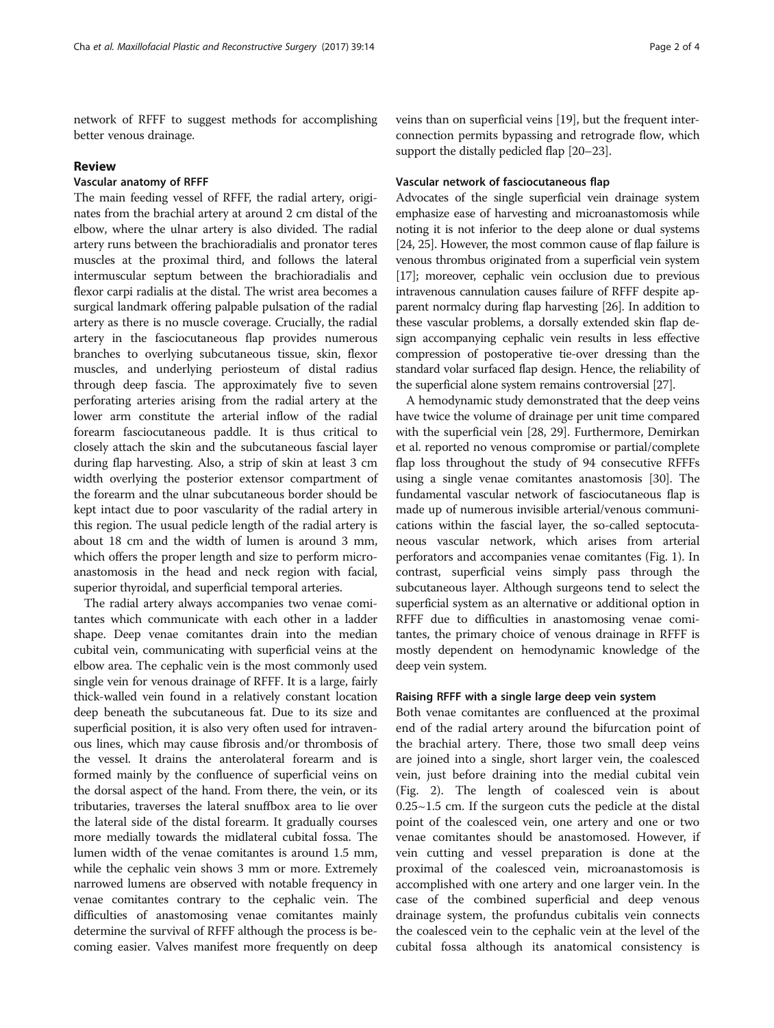network of RFFF to suggest methods for accomplishing better venous drainage.

### Review

## Vascular anatomy of RFFF

The main feeding vessel of RFFF, the radial artery, originates from the brachial artery at around 2 cm distal of the elbow, where the ulnar artery is also divided. The radial artery runs between the brachioradialis and pronator teres muscles at the proximal third, and follows the lateral intermuscular septum between the brachioradialis and flexor carpi radialis at the distal. The wrist area becomes a surgical landmark offering palpable pulsation of the radial artery as there is no muscle coverage. Crucially, the radial artery in the fasciocutaneous flap provides numerous branches to overlying subcutaneous tissue, skin, flexor muscles, and underlying periosteum of distal radius through deep fascia. The approximately five to seven perforating arteries arising from the radial artery at the lower arm constitute the arterial inflow of the radial forearm fasciocutaneous paddle. It is thus critical to closely attach the skin and the subcutaneous fascial layer during flap harvesting. Also, a strip of skin at least 3 cm width overlying the posterior extensor compartment of the forearm and the ulnar subcutaneous border should be kept intact due to poor vascularity of the radial artery in this region. The usual pedicle length of the radial artery is about 18 cm and the width of lumen is around 3 mm, which offers the proper length and size to perform microanastomosis in the head and neck region with facial, superior thyroidal, and superficial temporal arteries.

The radial artery always accompanies two venae comitantes which communicate with each other in a ladder shape. Deep venae comitantes drain into the median cubital vein, communicating with superficial veins at the elbow area. The cephalic vein is the most commonly used single vein for venous drainage of RFFF. It is a large, fairly thick-walled vein found in a relatively constant location deep beneath the subcutaneous fat. Due to its size and superficial position, it is also very often used for intravenous lines, which may cause fibrosis and/or thrombosis of the vessel. It drains the anterolateral forearm and is formed mainly by the confluence of superficial veins on the dorsal aspect of the hand. From there, the vein, or its tributaries, traverses the lateral snuffbox area to lie over the lateral side of the distal forearm. It gradually courses more medially towards the midlateral cubital fossa. The lumen width of the venae comitantes is around 1.5 mm, while the cephalic vein shows 3 mm or more. Extremely narrowed lumens are observed with notable frequency in venae comitantes contrary to the cephalic vein. The difficulties of anastomosing venae comitantes mainly determine the survival of RFFF although the process is becoming easier. Valves manifest more frequently on deep

veins than on superficial veins [\[19\]](#page-3-0), but the frequent interconnection permits bypassing and retrograde flow, which support the distally pedicled flap [\[20](#page-3-0)–[23](#page-3-0)].

## Vascular network of fasciocutaneous flap

Advocates of the single superficial vein drainage system emphasize ease of harvesting and microanastomosis while noting it is not inferior to the deep alone or dual systems [[24](#page-3-0), [25](#page-3-0)]. However, the most common cause of flap failure is venous thrombus originated from a superficial vein system [[17](#page-3-0)]; moreover, cephalic vein occlusion due to previous intravenous cannulation causes failure of RFFF despite apparent normalcy during flap harvesting [\[26\]](#page-3-0). In addition to these vascular problems, a dorsally extended skin flap design accompanying cephalic vein results in less effective compression of postoperative tie-over dressing than the standard volar surfaced flap design. Hence, the reliability of the superficial alone system remains controversial [\[27\]](#page-3-0).

A hemodynamic study demonstrated that the deep veins have twice the volume of drainage per unit time compared with the superficial vein [[28](#page-3-0), [29](#page-3-0)]. Furthermore, Demirkan et al. reported no venous compromise or partial/complete flap loss throughout the study of 94 consecutive RFFFs using a single venae comitantes anastomosis [[30](#page-3-0)]. The fundamental vascular network of fasciocutaneous flap is made up of numerous invisible arterial/venous communications within the fascial layer, the so-called septocutaneous vascular network, which arises from arterial perforators and accompanies venae comitantes (Fig. [1\)](#page-2-0). In contrast, superficial veins simply pass through the subcutaneous layer. Although surgeons tend to select the superficial system as an alternative or additional option in RFFF due to difficulties in anastomosing venae comitantes, the primary choice of venous drainage in RFFF is mostly dependent on hemodynamic knowledge of the deep vein system.

#### Raising RFFF with a single large deep vein system

Both venae comitantes are confluenced at the proximal end of the radial artery around the bifurcation point of the brachial artery. There, those two small deep veins are joined into a single, short larger vein, the coalesced vein, just before draining into the medial cubital vein (Fig. [2](#page-2-0)). The length of coalesced vein is about 0.25~1.5 cm. If the surgeon cuts the pedicle at the distal point of the coalesced vein, one artery and one or two venae comitantes should be anastomosed. However, if vein cutting and vessel preparation is done at the proximal of the coalesced vein, microanastomosis is accomplished with one artery and one larger vein. In the case of the combined superficial and deep venous drainage system, the profundus cubitalis vein connects the coalesced vein to the cephalic vein at the level of the cubital fossa although its anatomical consistency is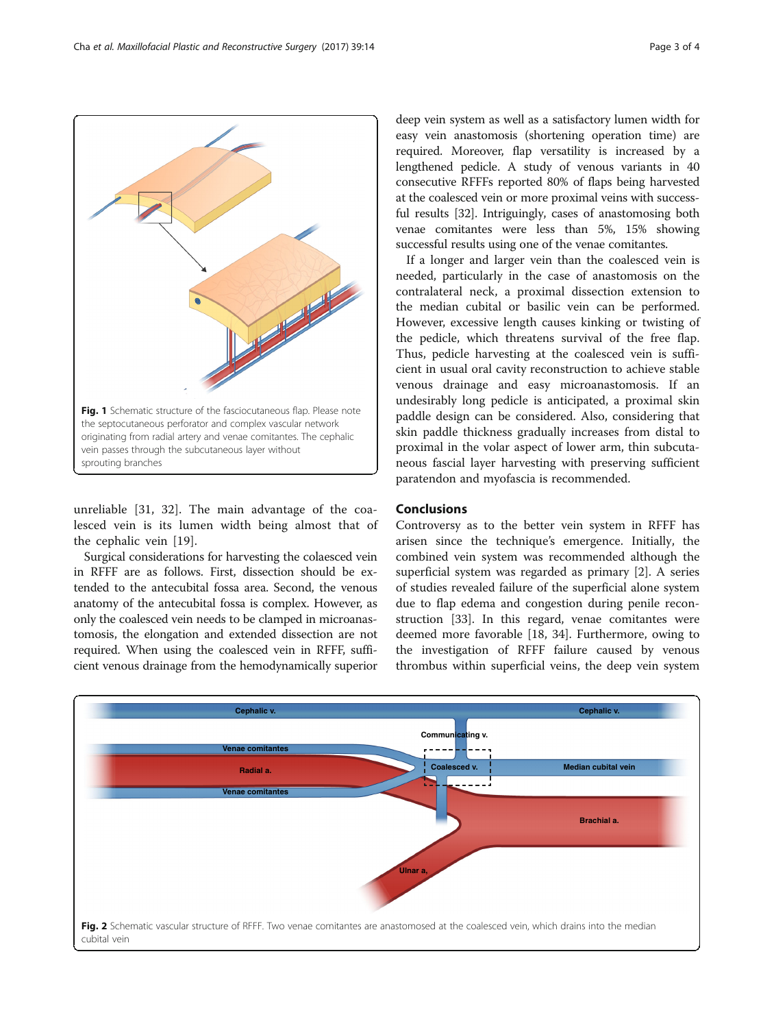unreliable [[31, 32](#page-3-0)]. The main advantage of the coalesced vein is its lumen width being almost that of the cephalic vein [\[19](#page-3-0)].

Surgical considerations for harvesting the colaesced vein in RFFF are as follows. First, dissection should be extended to the antecubital fossa area. Second, the venous anatomy of the antecubital fossa is complex. However, as only the coalesced vein needs to be clamped in microanastomosis, the elongation and extended dissection are not required. When using the coalesced vein in RFFF, sufficient venous drainage from the hemodynamically superior

deep vein system as well as a satisfactory lumen width for easy vein anastomosis (shortening operation time) are required. Moreover, flap versatility is increased by a lengthened pedicle. A study of venous variants in 40 consecutive RFFFs reported 80% of flaps being harvested at the coalesced vein or more proximal veins with successful results [[32](#page-3-0)]. Intriguingly, cases of anastomosing both venae comitantes were less than 5%, 15% showing successful results using one of the venae comitantes.

If a longer and larger vein than the coalesced vein is needed, particularly in the case of anastomosis on the contralateral neck, a proximal dissection extension to the median cubital or basilic vein can be performed. However, excessive length causes kinking or twisting of the pedicle, which threatens survival of the free flap. Thus, pedicle harvesting at the coalesced vein is sufficient in usual oral cavity reconstruction to achieve stable venous drainage and easy microanastomosis. If an undesirably long pedicle is anticipated, a proximal skin paddle design can be considered. Also, considering that skin paddle thickness gradually increases from distal to proximal in the volar aspect of lower arm, thin subcutaneous fascial layer harvesting with preserving sufficient paratendon and myofascia is recommended.

## Conclusions

Controversy as to the better vein system in RFFF has arisen since the technique's emergence. Initially, the combined vein system was recommended although the superficial system was regarded as primary [\[2](#page-3-0)]. A series of studies revealed failure of the superficial alone system due to flap edema and congestion during penile reconstruction [\[33](#page-3-0)]. In this regard, venae comitantes were deemed more favorable [\[18](#page-3-0), [34\]](#page-3-0). Furthermore, owing to the investigation of RFFF failure caused by venous thrombus within superficial veins, the deep vein system



<span id="page-2-0"></span>